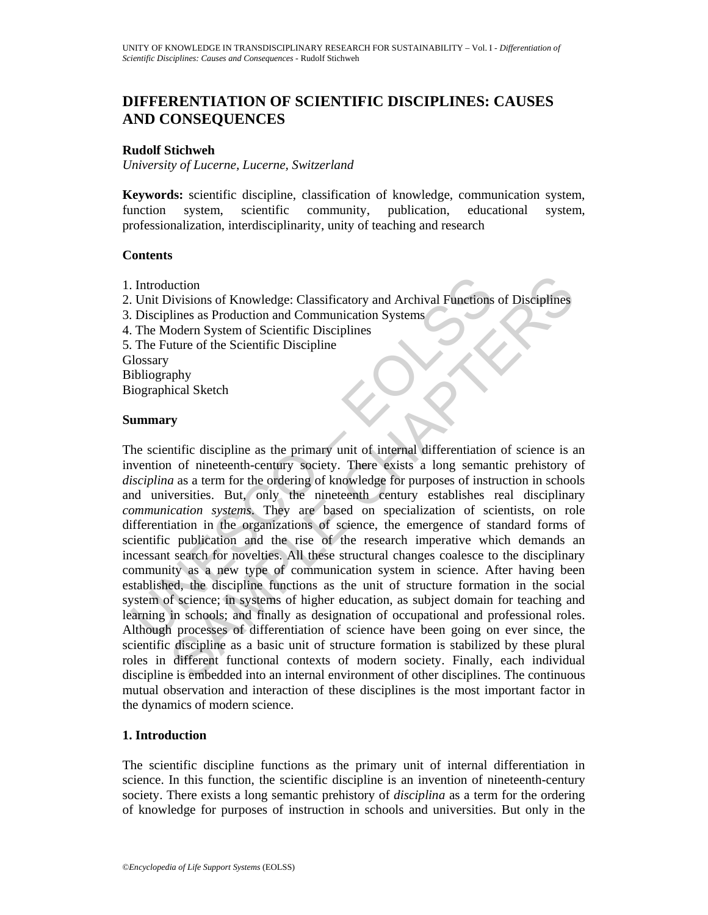# **DIFFERENTIATION OF SCIENTIFIC DISCIPLINES: CAUSES AND CONSEQUENCES**

### **Rudolf Stichweh**

*University of Lucerne, Lucerne, Switzerland* 

**Keywords:** scientific discipline, classification of knowledge, communication system, function system, scientific community, publication, educational system, professionalization, interdisciplinarity, unity of teaching and research

### **Contents**

- 1. Introduction
- 2. Unit Divisions of Knowledge: Classificatory and Archival Functions of Disciplines
- 3. Disciplines as Production and Communication Systems
- 4. The Modern System of Scientific Disciplines
- 5. The Future of the Scientific Discipline

**Glossary** 

Bibliography

Biographical Sketch

#### **Summary**

Introduction<br>
Unit Divisions of Knowledge: Classificatory and Archival Functions<br>
Disciplines as Production and Communication Systems<br>
The Modern System of Scientific Disciplines<br>
The Modern System of Scientific Discipline notion<br>
action<br>
site as Production and Communication Systems<br>
Influes as Production and Communication Systems<br>
Solodern System of Scientific Disciplines<br>
ature of the Scientific Discipline<br>
suture of the Scientific Discipl The scientific discipline as the primary unit of internal differentiation of science is an invention of nineteenth-century society. There exists a long semantic prehistory of *disciplina* as a term for the ordering of knowledge for purposes of instruction in schools and universities. But, only the nineteenth century establishes real disciplinary *communication systems*. They are based on specialization of scientists, on role differentiation in the organizations of science, the emergence of standard forms of scientific publication and the rise of the research imperative which demands an incessant search for novelties. All these structural changes coalesce to the disciplinary community as a new type of communication system in science. After having been established, the discipline functions as the unit of structure formation in the social system of science; in systems of higher education, as subject domain for teaching and learning in schools; and finally as designation of occupational and professional roles. Although processes of differentiation of science have been going on ever since, the scientific discipline as a basic unit of structure formation is stabilized by these plural roles in different functional contexts of modern society. Finally, each individual discipline is embedded into an internal environment of other disciplines. The continuous mutual observation and interaction of these disciplines is the most important factor in the dynamics of modern science.

### **1. Introduction**

The scientific discipline functions as the primary unit of internal differentiation in science. In this function, the scientific discipline is an invention of nineteenth-century society. There exists a long semantic prehistory of *disciplina* as a term for the ordering of knowledge for purposes of instruction in schools and universities. But only in the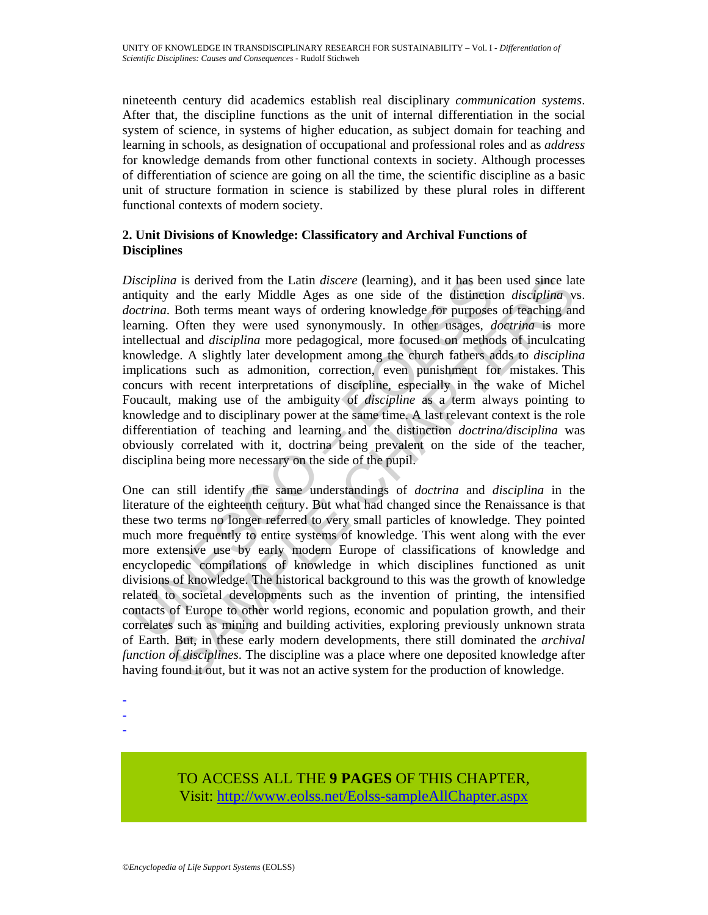nineteenth century did academics establish real disciplinary *communication systems*. After that, the discipline functions as the unit of internal differentiation in the social system of science, in systems of higher education, as subject domain for teaching and learning in schools, as designation of occupational and professional roles and as *address* for knowledge demands from other functional contexts in society. Although processes of differentiation of science are going on all the time, the scientific discipline as a basic unit of structure formation in science is stabilized by these plural roles in different functional contexts of modern society.

## **2. Unit Divisions of Knowledge: Classificatory and Archival Functions of Disciplines**

discriptina is derived from the Latin *discere* (learning), and it has beentiquity and the early Middle Ages as one side of the distinction and the manner ways of ordering knowledge for purposes corrainary. Often they were aa is derived from the Latin *discere* (learning), and it has been used since late and the carly Middle Ages as one side of the distinction *disciplina* v B of the state of the distinction *disciplina* Often they were use *Disciplina* is derived from the Latin *discere* (learning), and it has been used since late antiquity and the early Middle Ages as one side of the distinction *disciplina* vs. *doctrina*. Both terms meant ways of ordering knowledge for purposes of teaching and learning. Often they were used synonymously. In other usages, *doctrina* is more intellectual and *disciplina* more pedagogical, more focused on methods of inculcating knowledge. A slightly later development among the church fathers adds to *disciplina* implications such as admonition, correction, even punishment for mistakes. This concurs with recent interpretations of discipline, especially in the wake of Michel Foucault, making use of the ambiguity of *discipline* as a term always pointing to knowledge and to disciplinary power at the same time. A last relevant context is the role differentiation of teaching and learning and the distinction *doctrina/disciplina* was obviously correlated with it, doctrina being prevalent on the side of the teacher, disciplina being more necessary on the side of the pupil.

One can still identify the same understandings of *doctrina* and *disciplina* in the literature of the eighteenth century. But what had changed since the Renaissance is that these two terms no longer referred to very small particles of knowledge. They pointed much more frequently to entire systems of knowledge. This went along with the ever more extensive use by early modern Europe of classifications of knowledge and encyclopedic compilations of knowledge in which disciplines functioned as unit divisions of knowledge. The historical background to this was the growth of knowledge related to societal developments such as the invention of printing, the intensified contacts of Europe to other world regions, economic and population growth, and their correlates such as mining and building activities, exploring previously unknown strata of Earth. But, in these early modern developments, there still dominated the *archival function of disciplines*. The discipline was a place where one deposited knowledge after having found it out, but it was not an active system for the production of knowledge.

-

-

-

# TO ACCESS ALL THE **9 PAGES** OF THIS CHAPTER, Visit[: http://www.eolss.net/Eolss-sampleAllChapter.aspx](https://www.eolss.net/ebooklib/sc_cart.aspx?File=E6-49-01-02)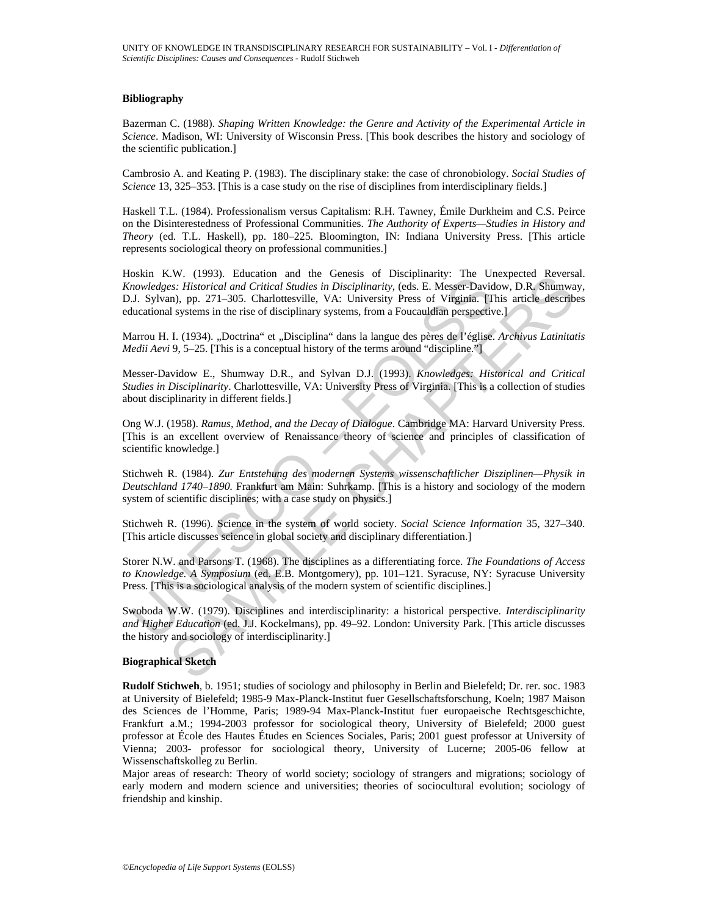#### **Bibliography**

Bazerman C. (1988). *Shaping Written Knowledge: the Genre and Activity of the Experimental Article in Science*. Madison, WI: University of Wisconsin Press. [This book describes the history and sociology of the scientific publication.]

Cambrosio A. and Keating P. (1983). The disciplinary stake: the case of chronobiology. *Social Studies of Science* 13, 325–353. [This is a case study on the rise of disciplines from interdisciplinary fields.]

Haskell T.L. (1984). Professionalism versus Capitalism: R.H. Tawney, Émile Durkheim and C.S. Peirce on the Disinterestedness of Professional Communities. *The Authority of Experts—Studies in History and Theory* (ed. T.L. Haskell), pp. 180–225. Bloomington, IN: Indiana University Press. [This article represents sociological theory on professional communities.]

**SSAIT ACT 1953).** Loudation dat the Gueslas of Disselbandry. The Oriental phospharmatic Consument and Critical Studies in Disciplinarity, (eds. E. Messer-David<br>
J. Sylvan), pp. 271–305. Charlottesville, VA: University Pre www. (1993). Eatenaton and the Genesis of Lusepinarry: The Unekpected Reverses.<br>
Fistratized and Critical Studies in Disciplinarity, (eds. E. Messer-Davidow, D.R. Shumwa<br>
(n), pp. 271–305. Charlottesville, VA: University P Hoskin K.W. (1993). Education and the Genesis of Disciplinarity: The Unexpected Reversal. *Knowledges: Historical and Critical Studies in Disciplinarity*, (eds. E. Messer-Davidow, D.R. Shumway, D.J. Sylvan), pp. 271–305. Charlottesville, VA: University Press of Virginia. [This article describes educational systems in the rise of disciplinary systems, from a Foucauldian perspective.]

Marrou H. I. (1934). "Doctrina" et "Disciplina" dans la langue des pères de l'église. *Archivus Latinitatis Medii Aevi* 9, 5–25. [This is a conceptual history of the terms around "discipline."]

Messer-Davidow E., Shumway D.R., and Sylvan D.J. (1993). *Knowledges: Historical and Critical Studies in Disciplinarity*. Charlottesville, VA: University Press of Virginia. [This is a collection of studies about disciplinarity in different fields.]

Ong W.J. (1958). *Ramus, Method, and the Decay of Dialogue*. Cambridge MA: Harvard University Press. [This is an excellent overview of Renaissance theory of science and principles of classification of scientific knowledge.]

Stichweh R. (1984). *Zur Entstehung des modernen Systems wissenschaftlicher Disziplinen—Physik in Deutschland 1740–1890.* Frankfurt am Main: Suhrkamp. [This is a history and sociology of the modern system of scientific disciplines; with a case study on physics.]

Stichweh R. (1996). Science in the system of world society. *Social Science Information* 35, 327–340. [This article discusses science in global society and disciplinary differentiation.]

Storer N.W. and Parsons T. (1968). The disciplines as a differentiating force. *The Foundations of Access to Knowledge. A Symposium* (ed. E.B. Montgomery), pp. 101–121. Syracuse, NY: Syracuse University Press. [This is a sociological analysis of the modern system of scientific disciplines.]

Swoboda W.W. (1979). Disciplines and interdisciplinarity: a historical perspective. *Interdisciplinarity and Higher Education* (ed. J.J. Kockelmans), pp. 49–92. London: University Park. [This article discusses the history and sociology of interdisciplinarity.]

#### **Biographical Sketch**

**Rudolf Stichweh**, b. 1951; studies of sociology and philosophy in Berlin and Bielefeld; Dr. rer. soc. 1983 at University of Bielefeld; 1985-9 Max-Planck-Institut fuer Gesellschaftsforschung, Koeln; 1987 Maison des Sciences de l'Homme, Paris; 1989-94 Max-Planck-Institut fuer europaeische Rechtsgeschichte, Frankfurt a.M.; 1994-2003 professor for sociological theory, University of Bielefeld; 2000 guest professor at École des Hautes Études en Sciences Sociales, Paris; 2001 guest professor at University of Vienna; 2003- professor for sociological theory, University of Lucerne; 2005-06 fellow at Wissenschaftskolleg zu Berlin.

Major areas of research: Theory of world society; sociology of strangers and migrations; sociology of early modern and modern science and universities; theories of sociocultural evolution; sociology of friendship and kinship.